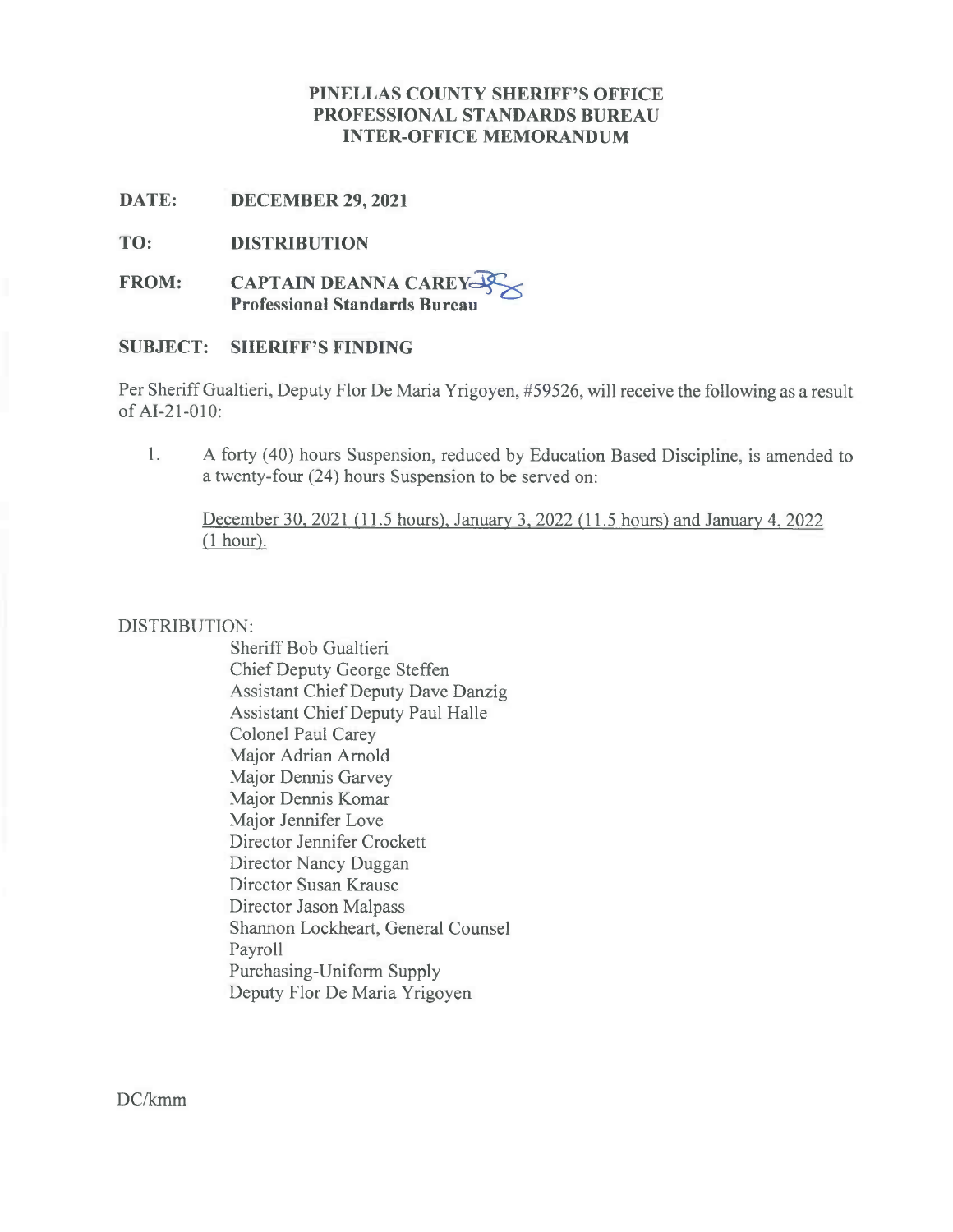## **PINELLAS COUNTY SHERIFF'S OFFICE PROFESSIONAL STANDARDS BUREAU INTER-OFFICE MEMORANDUM**

**DATE: DECEMBER 29, 2021**

**TO: DISTRIBUTION**

**FROM: CAPTAIN DEANNA CAREY-Professional Standards Bureau**

## **SUBJECT: SHERIFF'S FINDING**

Per Sheriff Gualtieri, Deputy Flor De Maria Yrigoyen, #59526, will receive the following as a result ofAI-21-010:

1. A forty (40) hours Suspension, reduced by Education Based Discipline, is amended to a twenty-four (24) hours Suspension to be served on:

December 30, 2021(1I.5 hours). January 3, <sup>2022</sup> (11.5 hours) and January 4, <sup>2022</sup> *(l* hour).

### DISTRIBUTION:

Sheriff Bob Gualtieri Chief Deputy George Steffen Assistant Chief Deputy Dave Danzig Assistant Chief Deputy Paul Halle Colonel Paul Carey Major Adrian Arnold Major Dennis Garvey Major Dennis Komar Major Jennifer Love Director Jennifer Crockett Director Nancy Duggan Director Susan Krause Director Jason Malpass Shannon Lockheart, General Counsel Payroll Purchasing-Uniform Supply Deputy Flor De Maria Yrigoyen

DC/kmm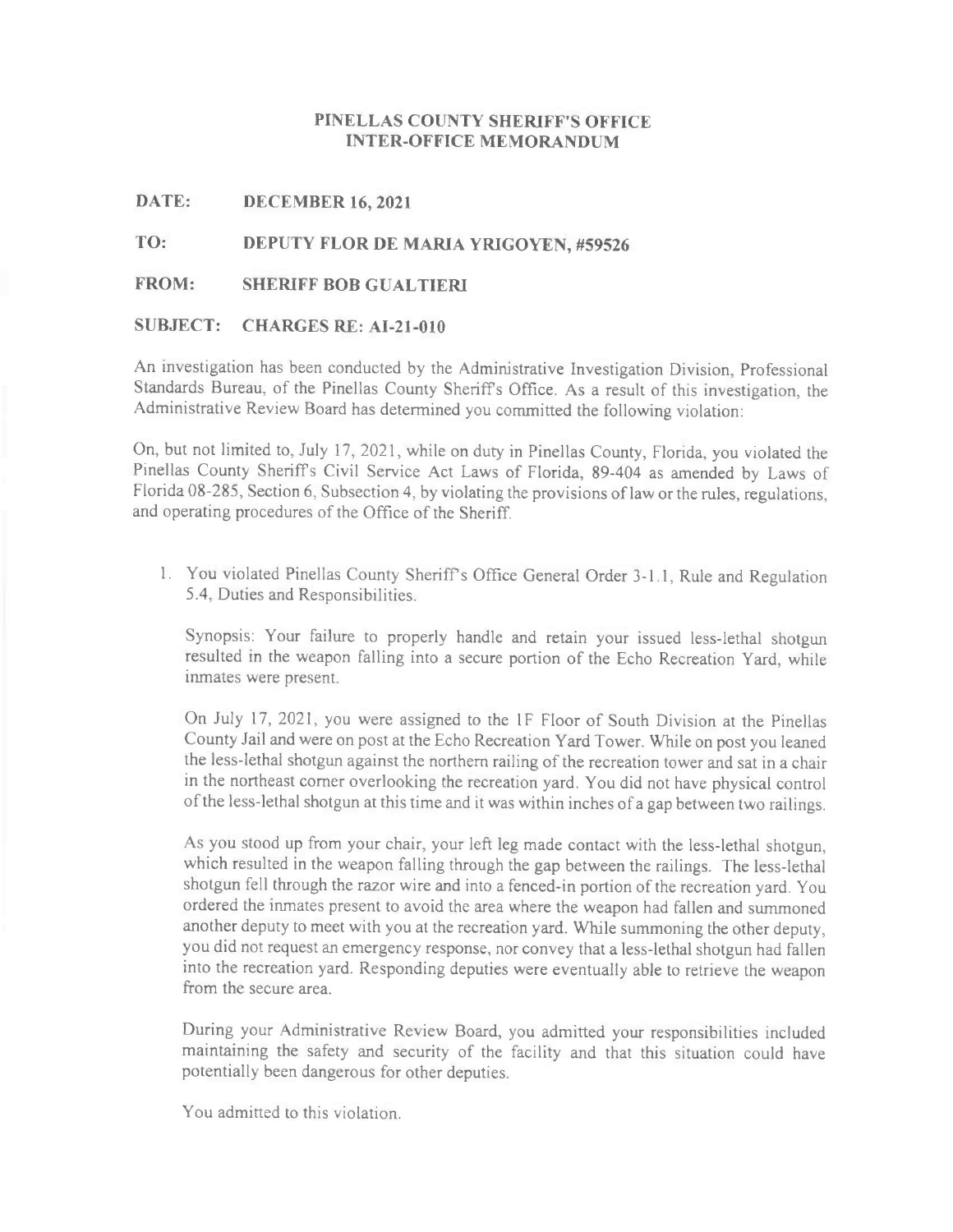#### **PINELLAS COUNTY SHERIFF'S OFFICE INTER-OFFICE MEMORANDUM**

**DATE: DECEMBER 16, 2021**

**TO: DEPUTY FLOR DE MARIA YRIGOYEN, #59526**

#### **FROM: SHERIFF BOB GUALTIERI**

#### **SUBJECT: CHARGES RE: AI-21-010**

An investigation has been conducted by the Administrative Investigation Division, Professional Standards Bureau, of the Pinellas County Sheriffs Office. As <sup>a</sup> result of this investigation, the Administrative Review Board has determined you committed the following violation:

On, but not limited to, July 17, 2021, while on duty in Pinellas County, Florida, you violated the Pinellas County Sheriffs Civil Service Act Laws of Florida, 89-404 as amended by Laws of Florida 08-285, Section 6, Subsection 4, by violating the provisions of law or the rules, regulations, and operating procedures of the Office of the Sheriff.

1. You violated Pinellas County Sheriff's Office General Order 3-1.1, Rule and Regulation 5.4, Duties and Responsibilities.

Synopsis: Your failure to properly handle and retain your issued less-lethal shotgun resulted in the weapon falling into a secure portion of the Echo Recreation Yard, while inmates were present.

On July 17, 2021, you were assigned to the 1F Floor of South Division at the Pinellas County Jail and were on post at the Echo Recreation Yard Tower. While on post you leaned the less-lethal shotgun against the northern railing of the recreation tower and sat in a chair in the northeast comer overlooking the recreation yard. You did not have physical control ofthe less-lethal shotgun at this time and it was within inches of <sup>a</sup> gap between two railings.

As you stood up from your chair, your left leg made contact with the less-lethal shotgun, which resulted in the weapon falling through the gap between the railings. The less-lethal shotgun fell through the razor wire and into a fenced-in portion of the recreation yard. You ordered the inmates present to avoid the area where the weapon had fallen and summoned another deputy to meet with you at the recreation yard. While summoning the other deputy, you did not request an emergency response, nor convey that a less-lethal shotgun had fallen into the recreation yard. Responding deputies were eventually able to retrieve the weapon from the secure area.

During your Administrative Review Board, you admitted your responsibilities included maintaining the safety and security of the facility and that this situation could have potentially been dangerous for other deputies.

You admitted to this violation.